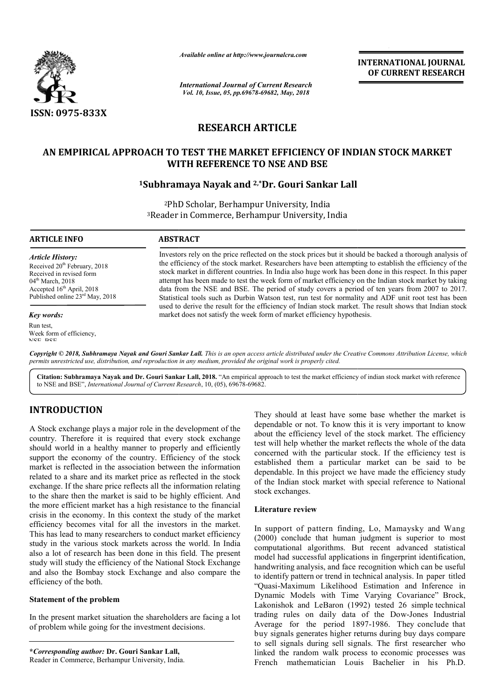

*Available online at http://www.journalcra.com*

*International Journal of Current Research Vol. 10, Issue, 05, pp.69678-69682, May, 2018*

**INTERNATIONAL JOURNAL OF CURRENT RESEARCH**

# **RESEARCH ARTICLE**

## AN EMPIRICAL APPROACH TO TEST THE MARKET EFFICIENCY OF INDIAN STOCK MARKET **WITH REFERENCE TO NSE AND BSE**

# **1Subhramaya Nayak Subhramaya and 2,\*Dr. Gouri Sankar Lall**

<sup>2</sup>PhD Scholar, Berhampur University, India 3Reader in Commerce, Berhampur University, India Reader

#### **ARTICLE INFO ABSTRACT**

*Article History:* Received 20<sup>th</sup> February, 2018 Received in revised form 04<sup>th</sup> March, 2018 Accepted  $16<sup>th</sup>$  April, 2018 Published online 23<sup>rd</sup> May, 2018

#### *Key words:*

Run test, Week form of efficiency, NEE<sub>Dee</sub>

Investors rely on the price reflected on the stock prices but it should be backed a thorough analysis of the efficiency of the stock market. Researchers have been attempting to establish the efficiency of the stock market in different countries. In India also huge work has been done in this respect. In this paper attempt has been made to test the week form of market efficiency on the Indian stock market by taking data from the NSE and BSE. The period of study covers a period of ten years from 2007 to 2017. Statistical tools such as Durbin Watson test, run test for normality and ADF unit root test has been used to derive the result for the efficiency of Indian stock market. The result shows that Indian stock market does not satisfy the week form of market efficiency hypothesis Investors rely on the price reflected on the stock prices but it should be backed a thorough analysis of the efficiency of the stock market. Researchers have been attempting to establish the efficiency of the stock market data from the NSE and BSE. The period of study covers a period of ten years from 20 Statistical tools such as Durbin Watson test, run test for normality and ADF unit root tused to derive the result for the efficiency of In

Copyright © 2018, Subhramaya Nayak and Gouri Sankar Lall. This is an open access article distributed under the Creative Commons Attribution License, which permits unrestricted use, distribution, and reproduction in any medium, provided the original work is properly cited.

Citation: Subhramaya Nayak and Dr. Gouri Sankar Lall, 2018. "An empirical approach to test the market efficiency of indian stock market with reference to NSE and BSE", *International Journal of Current Research* , 10, (05), 69678-69682.

## **INTRODUCTION**

A Stock exchange plays a major role in the development of the country. Therefore it is required that every stock exchange should world in a healthy manner to properly and efficiently support the economy of the country. Efficiency of the stock market is reflected in the association between the information related to a share and its market price as reflected in the stock exchange. If the share price reflects all the information relating to the share then the market is said to be highly efficient. And the more efficient market has a high resistance to the financial crisis in the economy. In this context the study of the market efficiency becomes vital for all the investors in the market. This has lead to many researchers to conduct market efficiency study in the various stock markets across the world. In India also a lot of research has been done in this field. The present study will study the efficiency of the National Stock Exchange and also the Bombay stock Exchange and also compare the efficiency of the both. ted in<br>re and<br>share<br>n the r<br>nt man<br>mes v<br>many<br>many<br>ious s

## **Statement of the problem**

In the present market situation the shareholders are facing a lot of problem while going for the investment decisions.

**\****Corresponding author:* **Dr. Gouri Sankar Lall, ,**Reader in Commerce, Berhampur University, India.

They should at least have some base whether the market is dependable or not. To know this it is very important to know about the efficiency level of the stock market. The efficiency test will help whether the market reflects the whole of the data concerned with the particular stock. If the efficiency test is established them a particular market can be said to be dependable. In this project we have made the efficiency study of the Indian stock market with special reference to National stock exchanges. should at least have some base whether the market is<br>dable or not. To know this it is very important to know<br>the efficiency level of the stock market. The efficiency<br>ill help whether the market reflects the whole of the da

## **Literature review**

In support of pattern finding, Lo, Mamaysky and Wang (2000) conclude that human judgment is superior to most computational algorithms. But recent advanced statistical model had successful applications in fingerprint identification, handwriting analysis, and face recognition which can be useful to identify pattern or trend in technical analysis. In paper titled "Quasi-Maximum Likelihood Estimation and Inference in Dynamic Models with Time Varying Covariance" Brock, Lakonishok and LeBaron (1992) tested 26 simple technical trading rules on daily data of the Dow-Jones Industrial Average for the period 18 1897-1986. They conclude that buy signals generates higher returns during buy days compare to sell signals during sell signals. The first researcher who linked the random walk process to economic processes was French mathematician Louis Bachelier in his Ph.D.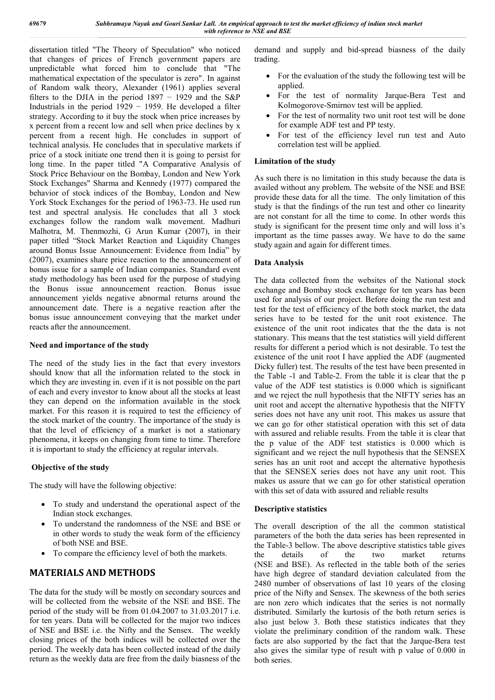dissertation titled "The Theory of Speculation" who noticed that changes of prices of French government papers are unpredictable what forced him to conclude that "The mathematical expectation of the speculator is zero". In against of Random walk theory, Alexander (1961) applies several filters to the DJIA in the period 1897 − 1929 and the S&P Industrials in the period 1929 − 1959. He developed a filter strategy. According to it buy the stock when price increases by x percent from a recent low and sell when price declines by x percent from a recent high. He concludes in support of technical analysis. He concludes that in speculative markets if price of a stock initiate one trend then it is going to persist for long time. In the paper titled "A Comparative Analysis of Stock Price Behaviour on the Bombay, London and New York Stock Exchanges" Sharma and Kennedy (1977) compared the behavior of stock indices of the Bombay, London and New York Stock Exchanges for the period of 1963-73. He used run test and spectral analysis. He concludes that all 3 stock exchanges follow the random walk movement. Madhuri Malhotra, M. Thenmozhi, G Arun Kumar (2007), in their paper titled "Stock Market Reaction and Liquidity Changes around Bonus Issue Announcement: Evidence from India" by (2007), examines share price reaction to the announcement of bonus issue for a sample of Indian companies. Standard event study methodology has been used for the purpose of studying the Bonus issue announcement reaction. Bonus issue announcement yields negative abnormal returns around the announcement date. There is a negative reaction after the bonus issue announcement conveying that the market under reacts after the announcement.

## **Need and importance of the study**

The need of the study lies in the fact that every investors should know that all the information related to the stock in which they are investing in. even if it is not possible on the part of each and every investor to know about all the stocks at least they can depend on the information available in the stock market. For this reason it is required to test the efficiency of the stock market of the country. The importance of the study is that the level of efficiency of a market is not a stationary phenomena, it keeps on changing from time to time. Therefore it is important to study the efficiency at regular intervals.

## **Objective of the study**

The study will have the following objective:

- To study and understand the operational aspect of the Indian stock exchanges.
- To understand the randomness of the NSE and BSE or in other words to study the weak form of the efficiency of both NSE and BSE.
- To compare the efficiency level of both the markets.

## **MATERIALS AND METHODS**

The data for the study will be mostly on secondary sources and will be collected from the website of the NSE and BSE. The period of the study will be from 01.04.2007 to 31.03.2017 i.e. for ten years. Data will be collected for the major two indices of NSE and BSE i.e. the Nifty and the Sensex. The weekly closing prices of the both indices will be collected over the period. The weekly data has been collected instead of the daily return as the weekly data are free from the daily biasness of the demand and supply and bid-spread biasness of the daily trading.

- For the evaluation of the study the following test will be applied.
- For the test of normality Jarque-Bera Test and Kolmogorove-Smirnov test will be applied.
- For the test of normality two unit root test will be done for example ADF test and PP testy.
- For test of the efficiency level run test and Auto correlation test will be applied.

## **Limitation of the study**

As such there is no limitation in this study because the data is availed without any problem. The website of the NSE and BSE provide these data for all the time. The only limitation of this study is that the findings of the run test and other co linearity are not constant for all the time to come. In other words this study is significant for the present time only and will loss it's important as the time passes away. We have to do the same study again and again for different times.

## **Data Analysis**

The data collected from the websites of the National stock exchange and Bombay stock exchange for ten years has been used for analysis of our project. Before doing the run test and test for the test of efficiency of the both stock market, the data series have to be tested for the unit root existence. The existence of the unit root indicates that the the data is not stationary. This means that the test statistics will yield different results for different a period which is not desirable. To test the existence of the unit root I have applied the ADF (augmented Dicky fuller) test. The results of the test have been presented in the Table -1 and Table-2. From the table it is clear that the p value of the ADF test statistics is 0.000 which is significant and we reject the null hypothesis that the NIFTY series has an unit root and accept the alternative hypothesis that the NIFTY series does not have any unit root. This makes us assure that we can go for other statistical operation with this set of data with assured and reliable results. From the table it is clear that the p value of the ADF test statistics is 0.000 which is significant and we reject the null hypothesis that the SENSEX series has an unit root and accept the alternative hypothesis that the SENSEX series does not have any unit root. This makes us assure that we can go for other statistical operation with this set of data with assured and reliable results

## **Descriptive statistics**

The overall description of the all the common statistical parameters of the both the data series has been represented in the Table-3 bellow. The above descriptive statistics table gives the details of the two market returns (NSE and BSE). As reflected in the table both of the series have high degree of standard deviation calculated from the 2480 number of observations of last 10 years of the closing price of the Nifty and Sensex. The skewness of the both series are non zero which indicates that the series is not normally distributed. Similarly the kurtosis of the both return series is also just below 3. Both these statistics indicates that they violate the preliminary condition of the random walk. These facts are also supported by the fact that the Jarque-Bera test also gives the similar type of result with p value of 0.000 in both series.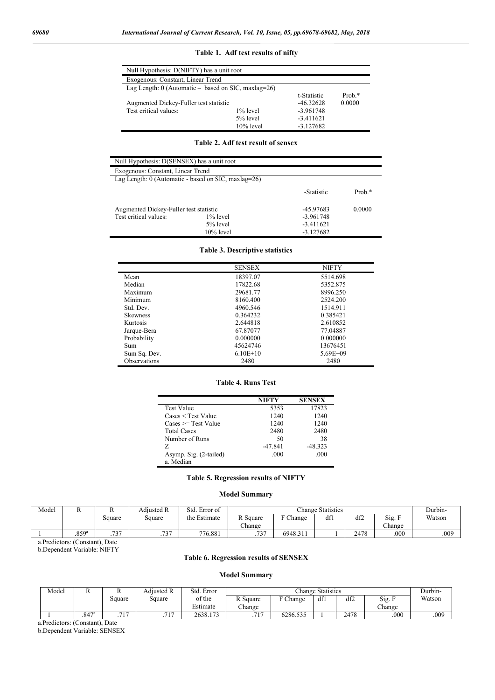#### **Table 1. Adf test results of nifty**

| Null Hypothesis: D(NIFTY) has a unit root             |              |             |           |  |  |  |  |  |
|-------------------------------------------------------|--------------|-------------|-----------|--|--|--|--|--|
| Exogenous: Constant, Linear Trend                     |              |             |           |  |  |  |  |  |
| Lag Length: $0$ (Automatic – based on SIC, maxlag=26) |              |             |           |  |  |  |  |  |
|                                                       |              | t-Statistic | Prob. $*$ |  |  |  |  |  |
| Augmented Dickey-Fuller test statistic                | $-46.32628$  | 0.0000      |           |  |  |  |  |  |
| Test critical values:                                 | $1\%$ level  | $-3.961748$ |           |  |  |  |  |  |
|                                                       | $5%$ level   | $-3.411621$ |           |  |  |  |  |  |
|                                                       | $10\%$ level | $-3.127682$ |           |  |  |  |  |  |

**Table 2. Adf test result of sensex**

| Null Hypothesis: D(SENSEX) has a unit root                |              |             |           |  |  |  |  |  |
|-----------------------------------------------------------|--------------|-------------|-----------|--|--|--|--|--|
| Exogenous: Constant, Linear Trend                         |              |             |           |  |  |  |  |  |
| Lag Length: $0$ (Automatic - based on SIC, maxlag= $26$ ) |              |             |           |  |  |  |  |  |
|                                                           |              | -Statistic  | Prob. $*$ |  |  |  |  |  |
| Augmented Dickey-Fuller test statistic                    |              | -45.97683   | 0.0000    |  |  |  |  |  |
| Test critical values:                                     | $1\%$ level  | $-3.961748$ |           |  |  |  |  |  |
|                                                           | $5%$ level   | $-3.411621$ |           |  |  |  |  |  |
|                                                           | $10\%$ level | $-3.127682$ |           |  |  |  |  |  |

### **Table 3. Descriptive statistics**

|                 | <b>SENSEX</b> | <b>NIFTY</b> |
|-----------------|---------------|--------------|
| Mean            | 18397.07      | 5514.698     |
| Median          | 17822.68      | 5352.875     |
| Maximum         | 29681.77      | 8996.250     |
| Minimum         | 8160.400      | 2524.200     |
| Std. Dev.       | 4960.546      | 1514.911     |
| <b>Skewness</b> | 0.364232      | 0.385421     |
| Kurtosis        | 2.644818      | 2.610852     |
| Jarque-Bera     | 67.87077      | 77.04887     |
| Probability     | 0.000000      | 0.000000     |
| Sum             | 45624746      | 13676451     |
| Sum Sq. Dev.    | $6.10E+10$    | $5.69E + 09$ |
| Observations    | 2480          | 2480         |

#### **Table 4. Runs Test**

|                                   | <b>NIFTY</b> | <b>SENSEX</b> |
|-----------------------------------|--------------|---------------|
| Test Value                        | 5353         | 17823         |
| Cases < Test Value                | 1240         | 1240          |
| $\text{Case} = \text{Test Value}$ | 1240         | 1240          |
| <b>Total Cases</b>                | 2480         | 2480          |
| Number of Runs                    | 50           | 38            |
| Z                                 | -47.841      | $-48.323$     |
| Asymp. Sig. (2-tailed)            | .000         | .000          |
| a. Median                         |              |               |

#### **Table 5. Regression results of NIFTY**

#### **Model Summary**

| Model | 11                |        | Adiusted R          | Std. Error of | Change Statistics |                 |     |      |                    | Durbin- |
|-------|-------------------|--------|---------------------|---------------|-------------------|-----------------|-----|------|--------------------|---------|
|       |                   | square | Square              | the Estimate  | R Square          | $\Gamma$ Change | dfl | df2  | $\sim$ .<br>Sıg. I | Watson  |
|       |                   |        |                     |               | Change            |                 |     |      | Change             |         |
|       | .859 <sup>a</sup> | .737   | $\overline{a}$<br>. | 776.881       | 727<br>، د ۱.     | 6948.311        |     | 2478 | .000               | .009    |

a.Predictors: (Constant), Date b.Dependent Variable: NIFTY

### **Table 6. Regression results of SENSEX**

#### **Model Summary**

| Model | -<br>$\overline{\phantom{a}}$ |                     | Adiusted R          | Error<br>Std.   | <b>Change Statistics</b> |                  |     |      |        | -Durbin |
|-------|-------------------------------|---------------------|---------------------|-----------------|--------------------------|------------------|-----|------|--------|---------|
|       |                               | Square              | Square              | of the          | R Square                 | $\sim$<br>Change | df1 | df2  | Sig.   | Watson  |
|       |                               |                     |                     | . .<br>Estimate | hange.                   |                  |     |      | Change |         |
|       | $.847^{s}$                    | 717<br>$\mathbf{r}$ | $\overline{ }$<br>. | 2638.173        | 717<br>$\pm$             | 6286.535         |     | 2478 | .000   | .009    |

a.Predictors: (Constant), Date

b.Dependent Variable: SENSEX

j.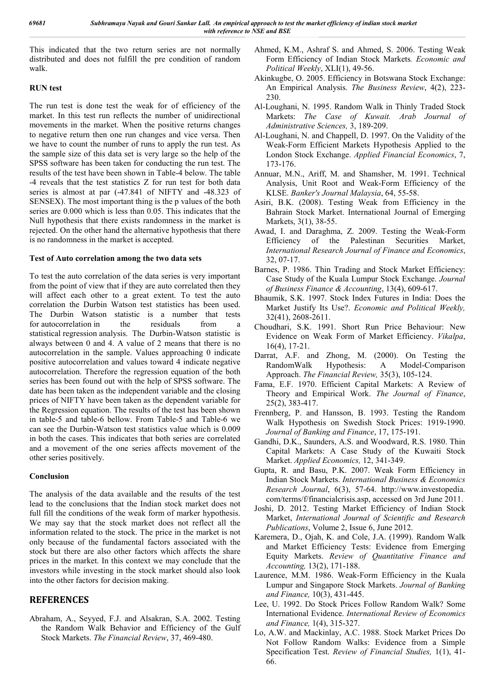This indicated that the two return series are not normally distributed and does not fulfill the pre condition of random walk.

## **RUN test**

The run test is done test the weak for of efficiency of the market. In this test run reflects the number of unidirectional movements in the market. When the positive returns changes to negative return then one run changes and vice versa. Then we have to count the number of runs to apply the run test. As the sample size of this data set is very large so the help of the SPSS software has been taken for conducting the run test. The results of the test have been shown in Table-4 below. The table -4 reveals that the test statistics Z for run test for both data series is almost at par (-47.841 of NIFTY and -48.323 of SENSEX). The most important thing is the p values of the both series are 0.000 which is less than 0.05. This indicates that the Null hypothesis that there exists randomness in the market is rejected. On the other hand the alternative hypothesis that there is no randomness in the market is accepted.

## **Test of Auto correlation among the two data sets**

To test the auto correlation of the data series is very important from the point of view that if they are auto correlated then they will affect each other to a great extent. To test the auto correlation the Durbin Watson test statistics has been used. The Durbin Watson statistic is a number that tests for autocorrelation in the residuals from a statistical regression analysis. The Durbin-Watson statistic is always between 0 and 4. A value of 2 means that there is no autocorrelation in the sample. Values approaching 0 indicate positive autocorrelation and values toward 4 indicate negative autocorrelation. Therefore the regression equation of the both series has been found out with the help of SPSS software. The date has been taken as the independent variable and the closing prices of NIFTY have been taken as the dependent variable for the Regression equation. The results of the test has been shown in table-5 and table-6 bellow. From Table-5 and Table-6 we can see the Durbin-Watson test statistics value which is 0.009 in both the cases. This indicates that both series are correlated and a movement of the one series affects movement of the other series positively.

## **Conclusion**

The analysis of the data available and the results of the test lead to the conclusions that the Indian stock market does not full fill the conditions of the weak form of marker hypothesis. We may say that the stock market does not reflect all the information related to the stock. The price in the market is not only because of the fundamental factors associated with the stock but there are also other factors which affects the share prices in the market. In this context we may conclude that the investors while investing in the stock market should also look into the other factors for decision making.

## **REFERENCES**

Abraham, A., Seyyed, F.J. and Alsakran, S.A. 2002. Testing the Random Walk Behavior and Efficiency of the Gulf Stock Markets. *The Financial Review*, 37, 469-480.

- Ahmed, K.M., Ashraf S. and Ahmed, S. 2006. Testing Weak Form Efficiency of Indian Stock Markets*. Economic and Political Weekly*, XLI(1), 49-56.
- Akinkugbe, O. 2005. Efficiency in Botswana Stock Exchange: An Empirical Analysis. *The Business Review*, 4(2), 223- 230.
- Al-Loughani, N. 1995. Random Walk in Thinly Traded Stock Markets: *The Case of Kuwait. Arab Journal of Administrative Sciences,* 3, 189-209.
- Al-Loughani, N. and Chappell, D. 1997. On the Validity of the Weak-Form Efficient Markets Hypothesis Applied to the London Stock Exchange. *Applied Financial Economics*, 7, 173-176.
- Annuar, M.N., Ariff, M. and Shamsher, M. 1991. Technical Analysis, Unit Root and Weak-Form Efficiency of the KLSE. *Banker's Journal Malaysia*, 64, 55-58.
- Asiri, B.K. (2008). Testing Weak from Efficiency in the Bahrain Stock Market. International Journal of Emerging Markets, 3(1), 38-55.
- Awad, I. and Daraghma, Z. 2009. Testing the Weak-Form Efficiency of the Palestinan Securities Market, *International Research Journal of Finance and Economics*, 32, 07-17.
- Barnes, P. 1986. Thin Trading and Stock Market Efficiency: Case Study of the Kuala Lumpur Stock Exchange. *Journal of Business Finance & Accounting*, 13(4), 609-617.
- Bhaumik, S.K. 1997. Stock Index Futures in India: Does the Market Justify Its Use?. *Economic and Political Weekly,* 32(41), 2608-2611.
- Choudhari, S.K. 1991. Short Run Price Behaviour: New Evidence on Weak Form of Market Efficiency. *Vikalpa*, 16(4), 17-21.
- Darrat, A.F. and Zhong, M. (2000). On Testing the RandomWalk Hypothesis: A Model-Comparison Approach. *The Financial Review,* 35(3), 105-124.
- Fama, E.F. 1970. Efficient Capital Markets: A Review of Theory and Empirical Work. *The Journal of Finance*, 25(2), 383-417.
- Frennberg, P. and Hansson, B. 1993. Testing the Random Walk Hypothesis on Swedish Stock Prices: 1919-1990. *Journal of Banking and Finance*, 17, 175-191.
- Gandhi, D.K., Saunders, A.S. and Woodward, R.S. 1980. Thin Capital Markets: A Case Study of the Kuwaiti Stock Market. *Applied Economics,* 12, 341-349.
- Gupta, R. and Basu, P.K. 2007. Weak Form Efficiency in Indian Stock Markets. *International Business & Economics Research Journal*, 6(3), 57-64. http://www.investopedia. com/terms/f/financialcrisis.asp, accessed on 3rd June 2011.
- Joshi, D. 2012. Testing Market Efficiency of Indian Stock Market, *International Journal of Scientific and Research Publications*, Volume 2, Issue 6, June 2012.
- Karemera, D., Ojah, K. and Cole, J.A. (1999). Random Walk and Market Efficiency Tests: Evidence from Emerging Equity Markets. *Review of Quantitative Finance and Accounting,* 13(2), 171-188.
- Laurence, M.M. 1986. Weak-Form Efficiency in the Kuala Lumpur and Singapore Stock Markets. *Journal of Banking and Finance,* 10(3), 431-445.
- Lee, U. 1992. Do Stock Prices Follow Random Walk? Some International Evidence. *International Review of Economics and Finance,* 1(4), 315-327.
- Lo, A.W. and Mackinlay, A.C. 1988. Stock Market Prices Do Not Follow Random Walks: Evidence from a Simple Specification Test. *Review of Financial Studies,* 1(1), 41- 66.